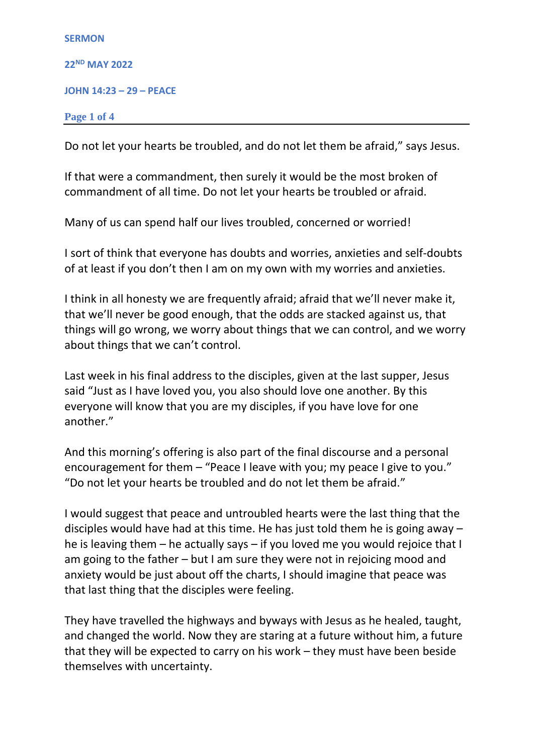| <b>SERMON</b>                   |  |
|---------------------------------|--|
| <b>22<sup>ND</sup> MAY 2022</b> |  |
| <b>JOHN 14:23 - 29 - PEACE</b>  |  |
| Page 1 of 4                     |  |

Do not let your hearts be troubled, and do not let them be afraid," says Jesus.

If that were a commandment, then surely it would be the most broken of commandment of all time. Do not let your hearts be troubled or afraid.

Many of us can spend half our lives troubled, concerned or worried!

I sort of think that everyone has doubts and worries, anxieties and self-doubts of at least if you don't then I am on my own with my worries and anxieties.

I think in all honesty we are frequently afraid; afraid that we'll never make it, that we'll never be good enough, that the odds are stacked against us, that things will go wrong, we worry about things that we can control, and we worry about things that we can't control.

Last week in his final address to the disciples, given at the last supper, Jesus said "Just as I have loved you, you also should love one another. By this everyone will know that you are my disciples, if you have love for one another."

And this morning's offering is also part of the final discourse and a personal encouragement for them – "Peace I leave with you; my peace I give to you." "Do not let your hearts be troubled and do not let them be afraid."

I would suggest that peace and untroubled hearts were the last thing that the disciples would have had at this time. He has just told them he is going away – he is leaving them – he actually says – if you loved me you would rejoice that I am going to the father – but I am sure they were not in rejoicing mood and anxiety would be just about off the charts, I should imagine that peace was that last thing that the disciples were feeling.

They have travelled the highways and byways with Jesus as he healed, taught, and changed the world. Now they are staring at a future without him, a future that they will be expected to carry on his work – they must have been beside themselves with uncertainty.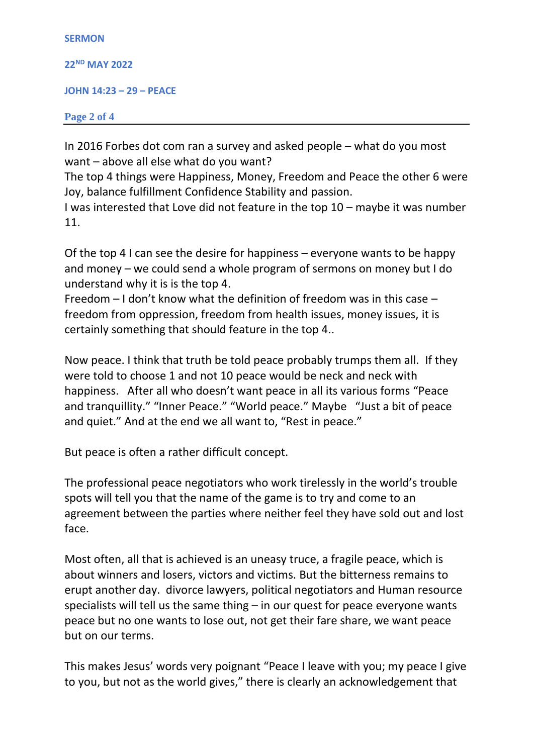```
SERMON
22
ND MAY 2022
JOHN 14:23 – 29 – PEACE
Page 2 of 4
```
In 2016 Forbes dot com ran a survey and asked people – what do you most want – above all else what do you want?

The top 4 things were Happiness, Money, Freedom and Peace the other 6 were Joy, balance fulfillment Confidence Stability and passion.

I was interested that Love did not feature in the top 10 – maybe it was number 11.

Of the top 4 I can see the desire for happiness – everyone wants to be happy and money – we could send a whole program of sermons on money but I do understand why it is is the top 4.

Freedom – I don't know what the definition of freedom was in this case – freedom from oppression, freedom from health issues, money issues, it is certainly something that should feature in the top 4..

Now peace. I think that truth be told peace probably trumps them all. If they were told to choose 1 and not 10 peace would be neck and neck with happiness. After all who doesn't want peace in all its various forms "Peace and tranquillity." "Inner Peace." "World peace." Maybe "Just a bit of peace and quiet." And at the end we all want to, "Rest in peace."

But peace is often a rather difficult concept.

The professional peace negotiators who work tirelessly in the world's trouble spots will tell you that the name of the game is to try and come to an agreement between the parties where neither feel they have sold out and lost face.

Most often, all that is achieved is an uneasy truce, a fragile peace, which is about winners and losers, victors and victims. But the bitterness remains to erupt another day. divorce lawyers, political negotiators and Human resource specialists will tell us the same thing – in our quest for peace everyone wants peace but no one wants to lose out, not get their fare share, we want peace but on our terms.

This makes Jesus' words very poignant "Peace I leave with you; my peace I give to you, but not as the world gives," there is clearly an acknowledgement that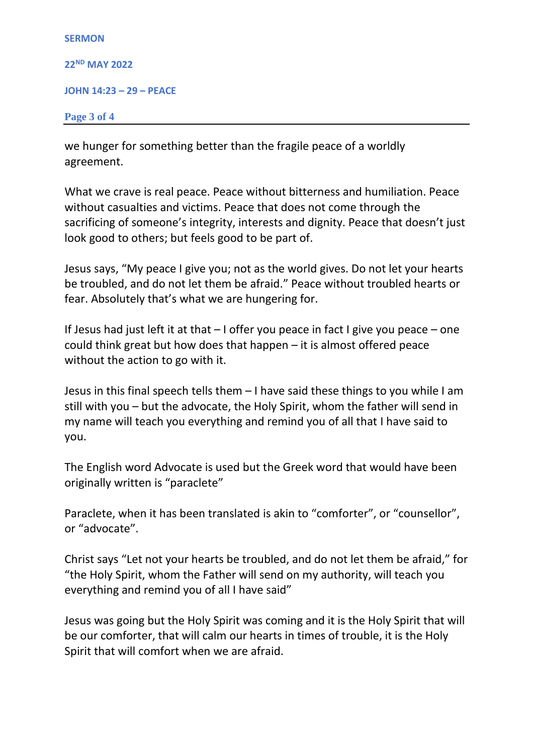```
SERMON
22
ND MAY 2022
JOHN 14:23 – 29 – PEACE
Page 3 of 4
```
we hunger for something better than the fragile peace of a worldly agreement.

What we crave is real peace. Peace without bitterness and humiliation. Peace without casualties and victims. Peace that does not come through the sacrificing of someone's integrity, interests and dignity. Peace that doesn't just look good to others; but feels good to be part of.

Jesus says, "My peace I give you; not as the world gives. Do not let your hearts be troubled, and do not let them be afraid." Peace without troubled hearts or fear. Absolutely that's what we are hungering for.

If Jesus had just left it at that – I offer you peace in fact I give you peace – one could think great but how does that happen – it is almost offered peace without the action to go with it.

Jesus in this final speech tells them – I have said these things to you while I am still with you – but the advocate, the Holy Spirit, whom the father will send in my name will teach you everything and remind you of all that I have said to you.

The English word Advocate is used but the Greek word that would have been originally written is "paraclete"

Paraclete, when it has been translated is akin to "comforter", or "counsellor", or "advocate".

Christ says "Let not your hearts be troubled, and do not let them be afraid," for "the Holy Spirit, whom the Father will send on my authority, will teach you everything and remind you of all I have said"

Jesus was going but the Holy Spirit was coming and it is the Holy Spirit that will be our comforter, that will calm our hearts in times of trouble, it is the Holy Spirit that will comfort when we are afraid.